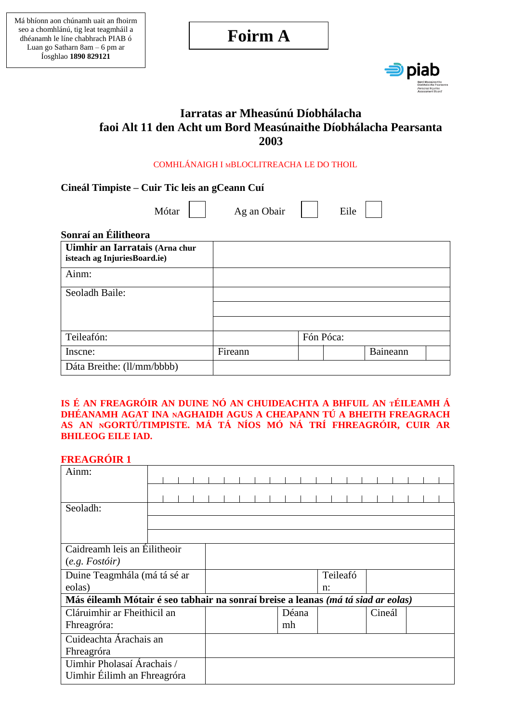# **Foirm A**



# **Iarratas ar Mheasúnú Díobhálacha faoi Alt 11 den Acht um Bord Measúnaithe Díobhálacha Pearsanta 2003**

#### COMHLÁNAIGH I MBLOCLITREACHA LE DO THOIL

**Cineál Timpiste – Cuir Tic leis an gCeann Cuí**

Mótar | | Ag an Obair | | Eile

# **Sonraí an Éilitheora**

| Uimhir an Iarratais (Arna chur<br>isteach ag InjuriesBoard.ie) |         |           |          |  |
|----------------------------------------------------------------|---------|-----------|----------|--|
| Ainm:                                                          |         |           |          |  |
| Seoladh Baile:                                                 |         |           |          |  |
|                                                                |         |           |          |  |
|                                                                |         |           |          |  |
| Teileafón:                                                     |         | Fón Póca: |          |  |
| Inscne:                                                        | Fireann |           | Baineann |  |
| Dáta Breithe: (ll/mm/bbbb)                                     |         |           |          |  |

#### **IS É AN FREAGRÓIR AN DUINE NÓ AN CHUIDEACHTA A BHFUIL AN TÉILEAMH Á DHÉANAMH AGAT INA NAGHAIDH AGUS A CHEAPANN TÚ A BHEITH FREAGRACH AS AN NGORTÚ/TIMPISTE. MÁ TÁ NÍOS MÓ NÁ TRÍ FHREAGRÓIR, CUIR AR BHILEOG EILE IAD.**

# **FREAGRÓIR 1**

| Ainm:                                                                            |  |  |  |  |    |       |       |          |        |  |  |  |
|----------------------------------------------------------------------------------|--|--|--|--|----|-------|-------|----------|--------|--|--|--|
|                                                                                  |  |  |  |  |    |       |       |          |        |  |  |  |
|                                                                                  |  |  |  |  |    |       |       |          |        |  |  |  |
| Seoladh:                                                                         |  |  |  |  |    |       |       |          |        |  |  |  |
|                                                                                  |  |  |  |  |    |       |       |          |        |  |  |  |
|                                                                                  |  |  |  |  |    |       |       |          |        |  |  |  |
| Caidreamh leis an Éilitheoir                                                     |  |  |  |  |    |       |       |          |        |  |  |  |
| (e.g. Forfoir)                                                                   |  |  |  |  |    |       |       |          |        |  |  |  |
| Duine Teagmhála (má tá sé ar                                                     |  |  |  |  |    |       |       | Teileafó |        |  |  |  |
| eolas)                                                                           |  |  |  |  |    |       | $n$ : |          |        |  |  |  |
| Más éileamh Mótair é seo tabhair na sonraí breise a leanas (má tá siad ar eolas) |  |  |  |  |    |       |       |          |        |  |  |  |
| Cláruimhir ar Fheithicil an                                                      |  |  |  |  |    | Déana |       |          | Cineál |  |  |  |
| Fhreagróra:                                                                      |  |  |  |  | mh |       |       |          |        |  |  |  |
| Cuideachta Árachais an                                                           |  |  |  |  |    |       |       |          |        |  |  |  |
| Fhreagróra                                                                       |  |  |  |  |    |       |       |          |        |  |  |  |
| Uimhir Pholasaí Árachais /                                                       |  |  |  |  |    |       |       |          |        |  |  |  |
| Uimhir Éilimh an Fhreagróra                                                      |  |  |  |  |    |       |       |          |        |  |  |  |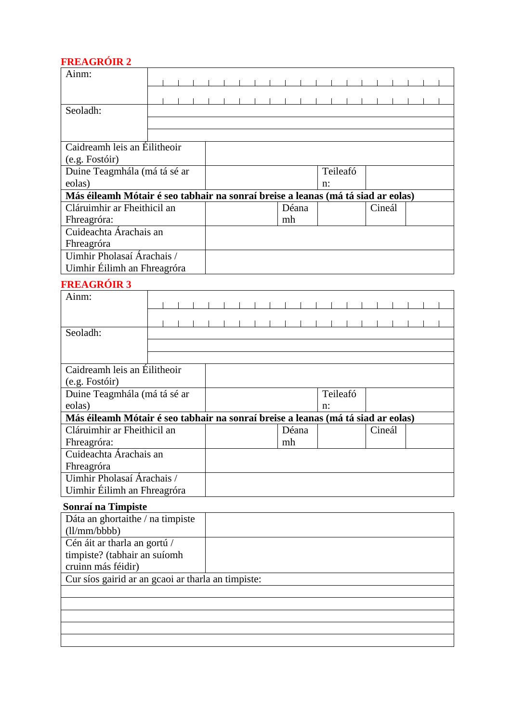# **FREAGRÓIR 2**

| THEITOINVIIN<br>Ainm:                                                            |  |  |  |  |    |    |       |    |          |        |  |  |
|----------------------------------------------------------------------------------|--|--|--|--|----|----|-------|----|----------|--------|--|--|
|                                                                                  |  |  |  |  |    |    |       |    |          |        |  |  |
|                                                                                  |  |  |  |  |    |    |       |    |          |        |  |  |
| Seoladh:                                                                         |  |  |  |  |    |    |       |    |          |        |  |  |
|                                                                                  |  |  |  |  |    |    |       |    |          |        |  |  |
|                                                                                  |  |  |  |  |    |    |       |    |          |        |  |  |
| Caidreamh leis an Éilitheoir                                                     |  |  |  |  |    |    |       |    |          |        |  |  |
|                                                                                  |  |  |  |  |    |    |       |    |          |        |  |  |
| (e.g. Fostóir)                                                                   |  |  |  |  |    |    |       |    |          |        |  |  |
| Duine Teagmhála (má tá sé ar                                                     |  |  |  |  |    |    |       |    | Teileafó |        |  |  |
| eolas)                                                                           |  |  |  |  |    |    |       | n: |          |        |  |  |
| Más éileamh Mótair é seo tabhair na sonraí breise a leanas (má tá siad ar eolas) |  |  |  |  |    |    |       |    |          |        |  |  |
| Cláruimhir ar Fheithicil an                                                      |  |  |  |  |    |    | Déana |    |          | Cineál |  |  |
| Fhreagróra:                                                                      |  |  |  |  |    | mh |       |    |          |        |  |  |
| Cuideachta Árachais an                                                           |  |  |  |  |    |    |       |    |          |        |  |  |
| Fhreagróra                                                                       |  |  |  |  |    |    |       |    |          |        |  |  |
| Uimhir Pholasaí Árachais /                                                       |  |  |  |  |    |    |       |    |          |        |  |  |
| Uimhir Éilimh an Fhreagróra                                                      |  |  |  |  |    |    |       |    |          |        |  |  |
| <b>FREAGRÓIR 3</b>                                                               |  |  |  |  |    |    |       |    |          |        |  |  |
| Ainm:                                                                            |  |  |  |  |    |    |       |    |          |        |  |  |
|                                                                                  |  |  |  |  |    |    |       |    |          |        |  |  |
|                                                                                  |  |  |  |  |    |    |       |    |          |        |  |  |
| Seoladh:                                                                         |  |  |  |  |    |    |       |    |          |        |  |  |
|                                                                                  |  |  |  |  |    |    |       |    |          |        |  |  |
|                                                                                  |  |  |  |  |    |    |       |    |          |        |  |  |
| Caidreamh leis an Éilitheoir                                                     |  |  |  |  |    |    |       |    |          |        |  |  |
| (e.g. Fostóir)                                                                   |  |  |  |  |    |    |       |    |          |        |  |  |
| Duine Teagmhála (má tá sé ar                                                     |  |  |  |  |    |    |       |    | Teileafó |        |  |  |
| eolas)                                                                           |  |  |  |  |    |    | n:    |    |          |        |  |  |
| Más éileamh Mótair é seo tabhair na sonraí breise a leanas (má tá siad ar eolas) |  |  |  |  |    |    |       |    |          |        |  |  |
| Cláruimhir ar Fheithicil an                                                      |  |  |  |  |    |    | Déana |    |          | Cineál |  |  |
| Fhreagróra:                                                                      |  |  |  |  | mh |    |       |    |          |        |  |  |
| Cuideachta Árachais an                                                           |  |  |  |  |    |    |       |    |          |        |  |  |
| Fhreagróra                                                                       |  |  |  |  |    |    |       |    |          |        |  |  |
| Uimhir Pholasaí Árachais /                                                       |  |  |  |  |    |    |       |    |          |        |  |  |
| Uimhir Éilimh an Fhreagróra                                                      |  |  |  |  |    |    |       |    |          |        |  |  |
| Sonraí na Timpiste                                                               |  |  |  |  |    |    |       |    |          |        |  |  |

| Dáta an ghortaithe / na timpiste                   |  |
|----------------------------------------------------|--|
| (11/mm/bbbb)                                       |  |
| Cén áit ar tharla an gortú /                       |  |
| timpiste? (tabhair an suíomh                       |  |
| cruinn más féidir)                                 |  |
| Cur síos gairid ar an gcaoi ar tharla an timpiste: |  |
|                                                    |  |
|                                                    |  |
|                                                    |  |
|                                                    |  |
|                                                    |  |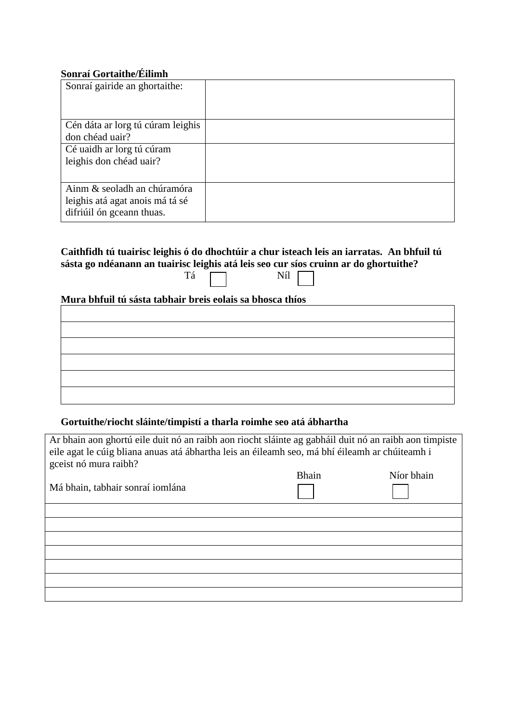# **Sonraí Gortaithe/Éilimh**

| Sonraí gairide an ghortaithe:                                                               |  |
|---------------------------------------------------------------------------------------------|--|
| Cén dáta ar lorg tú cúram leighis<br>don chéad uair?                                        |  |
| Cé uaidh ar lorg tú cúram<br>leighis don chéad uair?                                        |  |
| Ainm & seoladh an chúramóra<br>leighis atá agat anois má tá sé<br>difriúil ón gceann thuas. |  |

#### **Caithfidh tú tuairisc leighis ó do dhochtúir a chur isteach leis an iarratas. An bhfuil tú sásta go ndéanann an tuairisc leighis atá leis seo cur síos cruinn ar do ghortuithe?** Tá Níl

## **Mura bhfuil tú sásta tabhair breis eolais sa bhosca thíos**

#### **Gortuithe/riocht sláinte/timpistí a tharla roimhe seo atá ábhartha**

| Ar bhain aon ghortú eile duit nó an raibh aon riocht sláinte ag gabháil duit nó an raibh aon timpiste<br>eile agat le cúig bliana anuas atá ábhartha leis an éileamh seo, má bhí éileamh ar chúiteamh i<br>gceist nó mura raibh? |              |            |
|----------------------------------------------------------------------------------------------------------------------------------------------------------------------------------------------------------------------------------|--------------|------------|
|                                                                                                                                                                                                                                  | <b>Bhain</b> | Níor bhain |
| Má bhain, tabhair sonraí iomlána                                                                                                                                                                                                 |              |            |
|                                                                                                                                                                                                                                  |              |            |
|                                                                                                                                                                                                                                  |              |            |
|                                                                                                                                                                                                                                  |              |            |
|                                                                                                                                                                                                                                  |              |            |
|                                                                                                                                                                                                                                  |              |            |
|                                                                                                                                                                                                                                  |              |            |
|                                                                                                                                                                                                                                  |              |            |